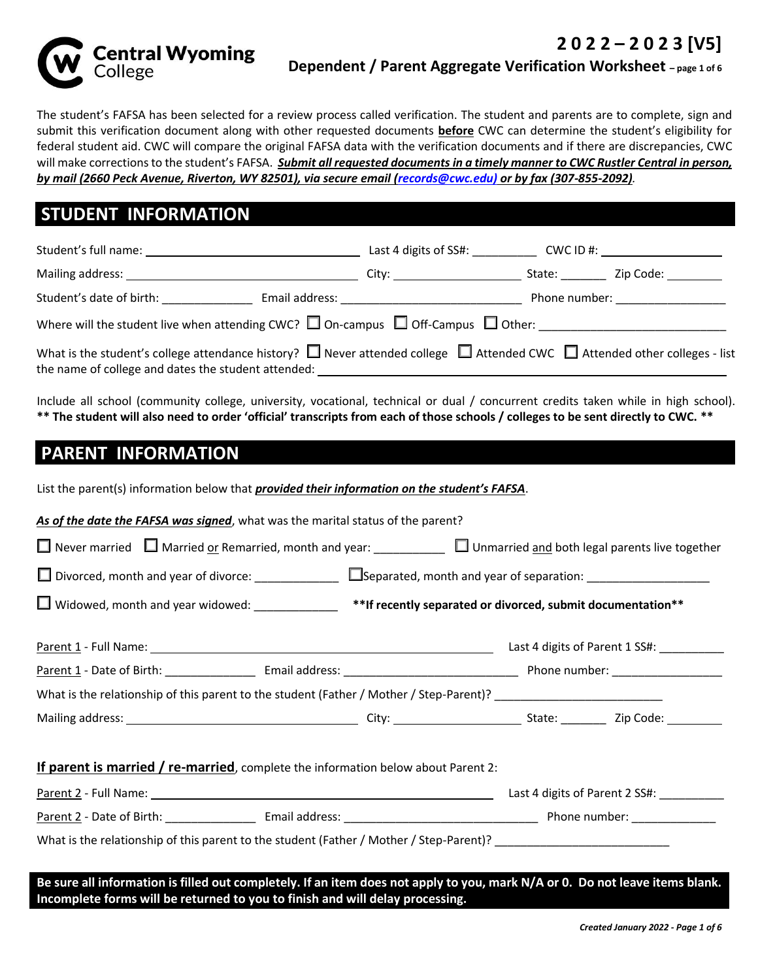**2 0 2 2 – 2 0 2 3 [V5]** 



#### **Dependent / Parent Aggregate Verification Worksheet – page 1 of 6**

The student's FAFSA has been selected for a review process called verification. The student and parents are to complete, sign and submit this verification document along with other requested documents **before** CWC can determine the student's eligibility for federal student aid. CWC will compare the original FAFSA data with the verification documents and if there are discrepancies, CWC will make corrections to the student's FAFSA. *Submit all requested documents in a timely manner to CWC Rustler Central in person, by mail (2660 Peck Avenue, Riverton, WY 82501), via secure email (records@cwc.edu) or by fax (307-855-2092).*

### **STUDENT INFORMATION**

|                                                                                                                                                                                                  | Last 4 digits of SS#:                                                                                                                                                                                                          |        | $CWC ID \#: \begin{array}{ccc} \hline \end{array}$ |
|--------------------------------------------------------------------------------------------------------------------------------------------------------------------------------------------------|--------------------------------------------------------------------------------------------------------------------------------------------------------------------------------------------------------------------------------|--------|----------------------------------------------------|
| Mailing address: Universe and American and American control of the American State and American control of the                                                                                    | City: the contract of the contract of the contract of the contract of the contract of the contract of the contract of the contract of the contract of the contract of the contract of the contract of the contract of the cont | State: | Zip Code: _________                                |
| Student's date of birth:                                                                                                                                                                         |                                                                                                                                                                                                                                |        | Phone number: <u>_______________</u>               |
| Where will the student live when attending CWC? $\square$ On-campus $\square$ Off-Campus $\square$ Other:                                                                                        |                                                                                                                                                                                                                                |        |                                                    |
| What is the student's college attendance history? $\Box$ Never attended college $\Box$ Attended CWC $\Box$ Attended other colleges - list<br>the name of college and dates the student attended: |                                                                                                                                                                                                                                |        |                                                    |

Include all school (community college, university, vocational, technical or dual / concurrent credits taken while in high school). **\*\* The student will also need to order 'official' transcripts from each of those schools / colleges to be sent directly to CWC. \*\***

## **PARENT INFORMATION**

List the parent(s) information below that *provided their information on the student's FAFSA*.

*As of the date the FAFSA was signed*, what was the marital status of the parent?

| Never married $\Box$ Married or Remarried, month and year: $\Box$ Unmarried and both legal parents live together             |  |  |  |  |
|------------------------------------------------------------------------------------------------------------------------------|--|--|--|--|
| $\Box$ Widowed, month and year widowed: _____________ **If recently separated or divorced, submit documentation**            |  |  |  |  |
|                                                                                                                              |  |  |  |  |
|                                                                                                                              |  |  |  |  |
| What is the relationship of this parent to the student (Father / Mother / Step-Parent)? ______________________               |  |  |  |  |
|                                                                                                                              |  |  |  |  |
| <b>If parent is married / re-married</b> , complete the information below about Parent 2:                                    |  |  |  |  |
|                                                                                                                              |  |  |  |  |
|                                                                                                                              |  |  |  |  |
| What is the relationship of this parent to the student (Father / Mother / Step-Parent)? ______________________               |  |  |  |  |
| Be sure all information is filled out completely. If an item does not apply to you, mark N/A or 0. Do not leave items blank. |  |  |  |  |

**Incomplete forms will be returned to you to finish and will delay processing.**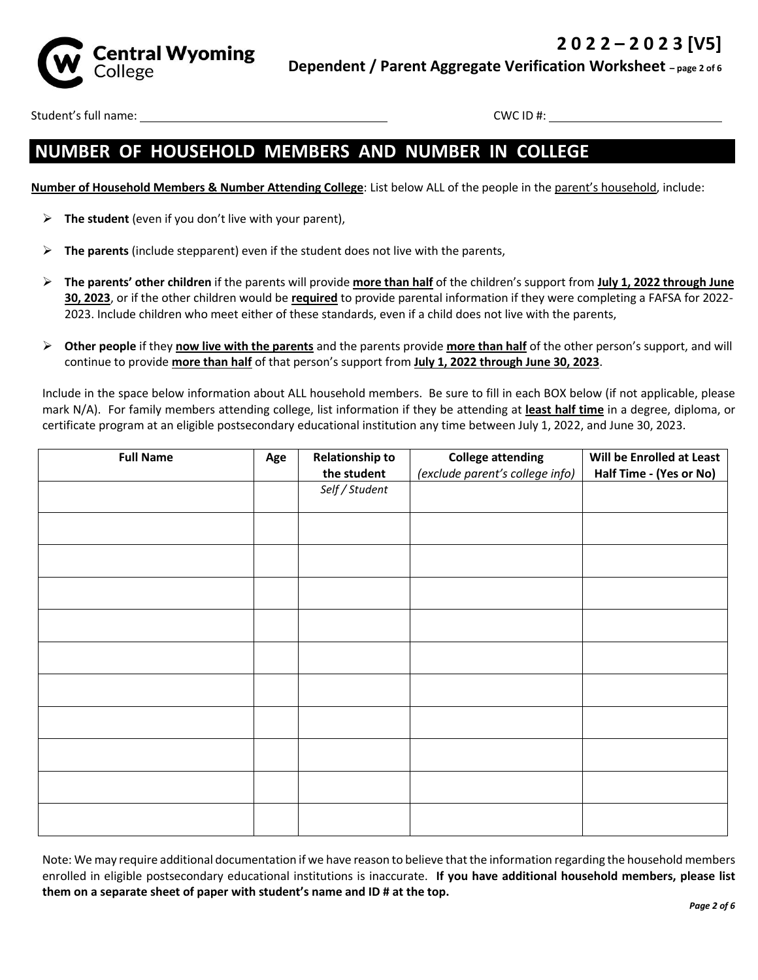

Student's full name: CWC ID #:

## **NUMBER OF HOUSEHOLD MEMBERS AND NUMBER IN COLLEGE**

**Number of Household Members & Number Attending College**: List below ALL of the people in the parent's household, include:

- **The student** (even if you don't live with your parent),
- **The parents** (include stepparent) even if the student does not live with the parents,
- **The parents' other children** if the parents will provide **more than half** of the children's support from **July 1, 2022 through June 30, 2023**, or if the other children would be **required** to provide parental information if they were completing a FAFSA for 2022- 2023. Include children who meet either of these standards, even if a child does not live with the parents,
- **Other people** if they **now live with the parents** and the parents provide **more than half** of the other person's support, and will continue to provide **more than half** of that person's support from **July 1, 2022 through June 30, 2023**.

Include in the space below information about ALL household members. Be sure to fill in each BOX below (if not applicable, please mark N/A). For family members attending college, list information if they be attending at **least half time** in a degree, diploma, or certificate program at an eligible postsecondary educational institution any time between July 1, 2022, and June 30, 2023.

| <b>Full Name</b> | Age | <b>Relationship to</b> | <b>College attending</b>        | Will be Enrolled at Least |
|------------------|-----|------------------------|---------------------------------|---------------------------|
|                  |     | the student            | (exclude parent's college info) | Half Time - (Yes or No)   |
|                  |     | Self / Student         |                                 |                           |
|                  |     |                        |                                 |                           |
|                  |     |                        |                                 |                           |
|                  |     |                        |                                 |                           |
|                  |     |                        |                                 |                           |
|                  |     |                        |                                 |                           |
|                  |     |                        |                                 |                           |
|                  |     |                        |                                 |                           |
|                  |     |                        |                                 |                           |
|                  |     |                        |                                 |                           |
|                  |     |                        |                                 |                           |
|                  |     |                        |                                 |                           |
|                  |     |                        |                                 |                           |
|                  |     |                        |                                 |                           |
|                  |     |                        |                                 |                           |
|                  |     |                        |                                 |                           |
|                  |     |                        |                                 |                           |
|                  |     |                        |                                 |                           |
|                  |     |                        |                                 |                           |

Note: We may require additional documentation if we have reason to believe that the information regarding the household members enrolled in eligible postsecondary educational institutions is inaccurate. **If you have additional household members, please list them on a separate sheet of paper with student's name and ID # at the top.**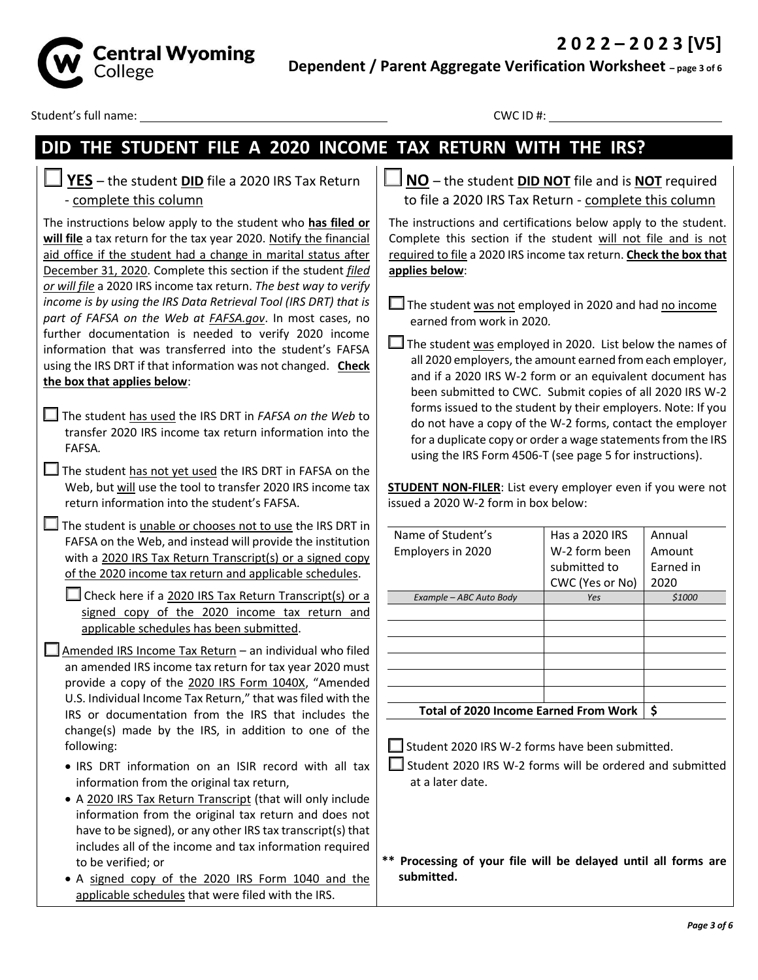

**Dependent / Parent Aggregate Verification Worksheet – page 3 of 6**

Student's full name: CWC ID #:

# **DID THE STUDENT FILE A 2020 INCOME TAX RETURN WITH THE IRS?**

 **YES** – the student **DID** file a 2020 IRS Tax Return - complete this column

The instructions below apply to the student who **has filed or will file** a tax return for the tax year 2020. Notify the financial aid office if the student had a change in marital status after December 31, 2020. Complete this section if the student *filed or will file* a 2020 IRS income tax return. *The best way to verify income is by using the IRS Data Retrieval Tool (IRS DRT) that is part of FAFSA on the Web at FAFSA.gov*. In most cases, no further documentation is needed to verify 2020 income information that was transferred into the student's FAFSA using the IRS DRT if that information was not changed. **Check the box that applies below**:

- The student has used the IRS DRT in *FAFSA on the Web* to transfer 2020 IRS income tax return information into the FAFSA*.*
- $\Box$  The student has not yet used the IRS DRT in FAFSA on the Web, but will use the tool to transfer 2020 IRS income tax return information into the student's FAFSA.

 $\Box$  The student is unable or chooses not to use the IRS DRT in FAFSA on the Web, and instead will provide the institution with a 2020 IRS Tax Return Transcript(s) or a signed copy of the 2020 income tax return and applicable schedules.

 $\Box$  Check here if a 2020 IRS Tax Return Transcript(s) or a signed copy of the 2020 income tax return and applicable schedules has been submitted.

 $\Box$  Amended IRS Income Tax Return – an individual who filed an amended IRS income tax return for tax year 2020 must provide a copy of the 2020 IRS Form 1040X, "Amended U.S. Individual Income Tax Return," that was filed with the IRS or documentation from the IRS that includes the change(s) made by the IRS, in addition to one of the following:

- IRS DRT information on an ISIR record with all tax information from the original tax return,
- A 2020 IRS Tax Return Transcript (that will only include information from the original tax return and does not have to be signed), or any other IRS tax transcript(s) that includes all of the income and tax information required to be verified; or
- A signed copy of the 2020 IRS Form 1040 and the applicable schedules that were filed with the IRS.

**NO** – the student **DID NOT** file and is **NOT** required to file a 2020 IRS Tax Return - complete this column

The instructions and certifications below apply to the student. Complete this section if the student will not file and is not required to file a 2020 IRS income tax return. **Check the box that applies below**:

 $\Box$  The student was employed in 2020. List below the names of all 2020 employers, the amount earned from each employer, and if a 2020 IRS W-2 form or an equivalent document has been submitted to CWC. Submit copies of all 2020 IRS W-2 forms issued to the student by their employers. Note: If you do not have a copy of the W-2 forms, contact the employer for a duplicate copy or order a wage statements from the IRS using the IRS Form 4506-T (see page 5 for instructions).

**STUDENT NON-FILER**: List every employer even if you were not issued a 2020 W-2 form in box below:

| Name of Student's                            | Has a 2020 IRS  | Annual    |
|----------------------------------------------|-----------------|-----------|
| Employers in 2020                            | W-2 form been   | Amount    |
|                                              | submitted to    | Farned in |
|                                              | CWC (Yes or No) | 2020      |
| Example - ABC Auto Body                      | Yes             | \$1000    |
|                                              |                 |           |
|                                              |                 |           |
|                                              |                 |           |
|                                              |                 |           |
|                                              |                 |           |
|                                              |                 |           |
| <b>Total of 2020 Income Earned From Work</b> | \$              |           |

 $\Box$  Student 2020 IRS W-2 forms have been submitted.

 $\Box$  Student 2020 IRS W-2 forms will be ordered and submitted at a later date.

**\*\* Processing of your file will be delayed until all forms are submitted.**

 $\Box$  The student was not employed in 2020 and had no income earned from work in 2020*.*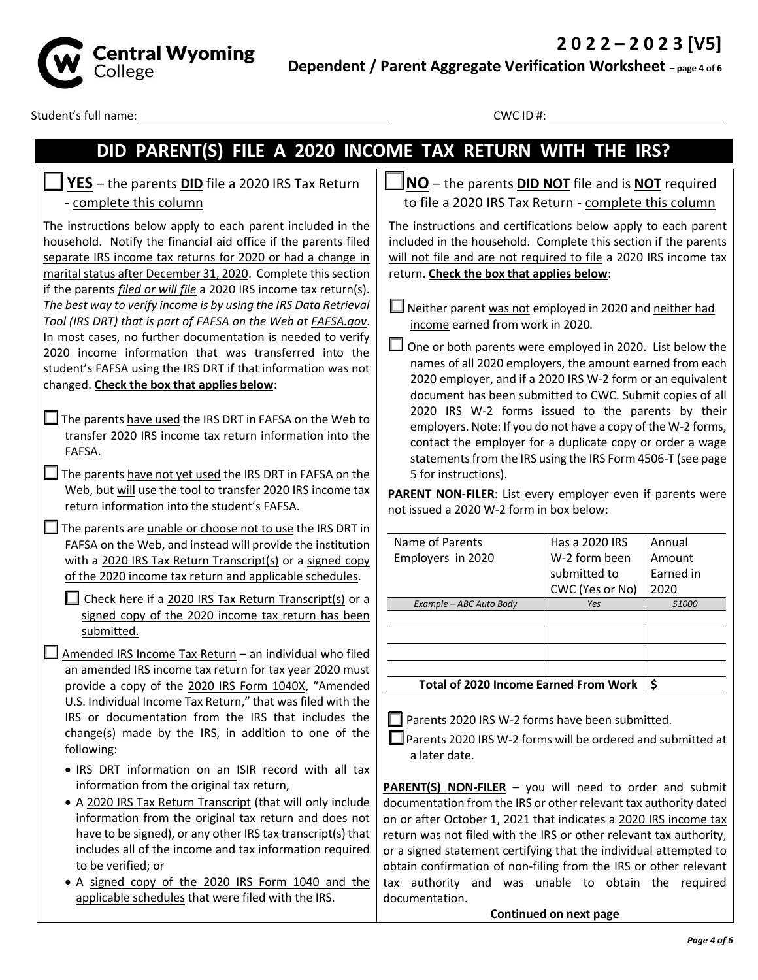

**Dependent / Parent Aggregate Verification Worksheet – page 4 of 6**

Student's full name: CWC ID #:

# **DID PARENT(S) FILE A 2020 INCOME TAX RETURN WITH THE IRS?**

#### **YES** – the parents **DID** file a 2020 IRS Tax Return - complete this column

The instructions below apply to each parent included in the household. Notify the financial aid office if the parents filed separate IRS income tax returns for 2020 or had a change in marital status after December 31, 2020. Complete this section if the parents *filed or will file* a 2020 IRS income tax return(s). *The best way to verify income is by using the IRS Data Retrieval Tool (IRS DRT) that is part of FAFSA on the Web at FAFSA.gov*. In most cases, no further documentation is needed to verify 2020 income information that was transferred into the student's FAFSA using the IRS DRT if that information was not changed. **Check the box that applies below**:

- $\Box$  The parents have used the IRS DRT in FAFSA on the Web to transfer 2020 IRS income tax return information into the FAFSA.
- $\Box$  The parents have not yet used the IRS DRT in FAFSA on the Web, but will use the tool to transfer 2020 IRS income tax return information into the student's FAFSA.

 $\Box$  The parents are unable or choose not to use the IRS DRT in FAFSA on the Web, and instead will provide the institution with a 2020 IRS Tax Return Transcript(s) or a signed copy of the 2020 income tax return and applicable schedules.

 $\Box$  Check here if a 2020 IRS Tax Return Transcript(s) or a signed copy of the 2020 income tax return has been submitted.

- $\Box$  Amended IRS Income Tax Return an individual who filed an amended IRS income tax return for tax year 2020 must provide a copy of the 2020 IRS Form 1040X, "Amended U.S. Individual Income Tax Return," that was filed with the IRS or documentation from the IRS that includes the change(s) made by the IRS, in addition to one of the following:
	- IRS DRT information on an ISIR record with all tax information from the original tax return,
	- A 2020 IRS Tax Return Transcript (that will only include information from the original tax return and does not have to be signed), or any other IRS tax transcript(s) that includes all of the income and tax information required to be verified; or
	- A signed copy of the 2020 IRS Form 1040 and the applicable schedules that were filed with the IRS.

**NO** – the parents **DID NOT** file and is **NOT** required to file a 2020 IRS Tax Return - complete this column

The instructions and certifications below apply to each parent included in the household. Complete this section if the parents will not file and are not required to file a 2020 IRS income tax return. **Check the box that applies below**:

 $\Box$  Neither parent was not employed in 2020 and neither had income earned from work in 2020*.*

 $\Box$  One or both parents were employed in 2020. List below the names of all 2020 employers, the amount earned from each 2020 employer, and if a 2020 IRS W-2 form or an equivalent document has been submitted to CWC. Submit copies of all 2020 IRS W-2 forms issued to the parents by their employers. Note: If you do not have a copy of the W-2 forms, contact the employer for a duplicate copy or order a wage statements from the IRS using the IRS Form 4506-T (see page 5 for instructions).

PARENT\_NON-FILER: List every employer even if parents were not issued a 2020 W-2 form in box below:

| Name of Parents                              | Has a 2020 IRS  | Annual    |
|----------------------------------------------|-----------------|-----------|
| Employers in 2020                            | W-2 form been   | Amount    |
|                                              | submitted to    | Earned in |
|                                              | CWC (Yes or No) | 2020      |
| Example - ABC Auto Body                      | Yes             | \$1000    |
|                                              |                 |           |
|                                              |                 |           |
|                                              |                 |           |
|                                              |                 |           |
| <b>Total of 2020 Income Earned From Work</b> | Ś               |           |

Parents 2020 IRS W-2 forms have been submitted.

■ Parents 2020 IRS W-2 forms will be ordered and submitted at a later date.

**PARENT(S) NON-FILER** – you will need to order and submit documentation from the IRS or other relevant tax authority dated on or after October 1, 2021 that indicates a 2020 IRS income tax return was not filed with the IRS or other relevant tax authority, or a signed statement certifying that the individual attempted to obtain confirmation of non-filing from the IRS or other relevant tax authority and was unable to obtain the required documentation.

**Continued on next page**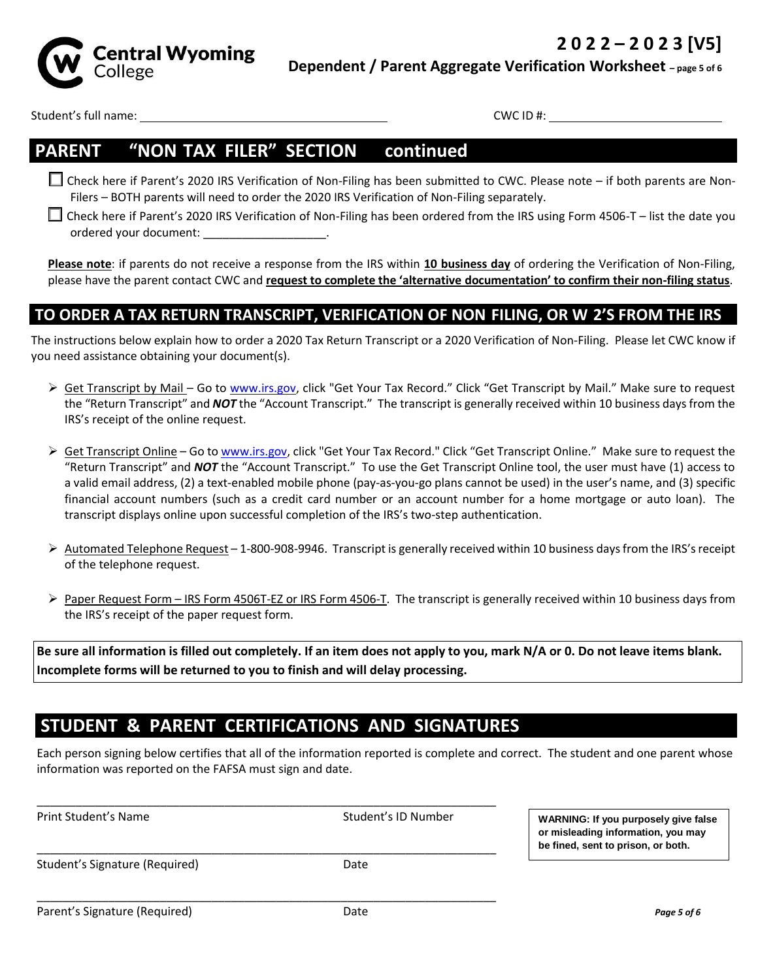



**Dependent / Parent Aggregate Verification Worksheet – page 5 of 6**

Student's full name: CWC ID #:

### **PARENT – "NON-TAX FILER" SECTION – continued**

 Check here if Parent's 2020 IRS Verification of Non-Filing has been submitted to CWC. Please note – if both parents are Non-Filers – BOTH parents will need to order the 2020 IRS Verification of Non-Filing separately.

 Check here if Parent's 2020 IRS Verification of Non-Filing has been ordered from the IRS using Form 4506-T – list the date you ordered your document:

**Please note**: if parents do not receive a response from the IRS within **10 business day** of ordering the Verification of Non-Filing, please have the parent contact CWC and **request to complete the 'alternative documentation' to confirm their non-filing status**.

### **TO ORDER A TAX RETURN TRANSCRIPT, VERIFICATION OF NON-FILING, OR W-2'S FROM THE IRS**

The instructions below explain how to order a 2020 Tax Return Transcript or a 2020 Verification of Non-Filing. Please let CWC know if you need assistance obtaining your document(s).

- ► Get Transcript by Mail Go to www.irs.gov, click "Get Your Tax Record." Click "Get Transcript by Mail." Make sure to request the "Return Transcript" and *NOT* the "Account Transcript." The transcript is generally received within 10 business days from the IRS's receipt of the online request.
- ► Get Transcript Online Go to www.irs.gov, click "Get Your Tax Record." Click "Get Transcript Online." Make sure to request the "Return Transcript" and *NOT* the "Account Transcript." To use the Get Transcript Online tool, the user must have (1) access to a valid email address, (2) a text-enabled mobile phone (pay-as-you-go plans cannot be used) in the user's name, and (3) specific financial account numbers (such as a credit card number or an account number for a home mortgage or auto loan). The transcript displays online upon successful completion of the IRS's two-step authentication.
- $\triangleright$  Automated Telephone Request 1-800-908-9946. Transcript is generally received within 10 business days from the IRS's receipt of the telephone request.
- ▶ Paper Request Form IRS Form 4506T-EZ or IRS Form 4506-T. The transcript is generally received within 10 business days from the IRS's receipt of the paper request form.

**Be sure all information is filled out completely. If an item does not apply to you, mark N/A or 0. Do not leave items blank. Incomplete forms will be returned to you to finish and will delay processing.**

## **STUDENT & PARENT CERTIFICATIONS AND SIGNATURES**

Each person signing below certifies that all of the information reported is complete and correct. The student and one parent whose information was reported on the FAFSA must sign and date.

| be fined, sent to prison, or both. |
|------------------------------------|
|                                    |
|                                    |